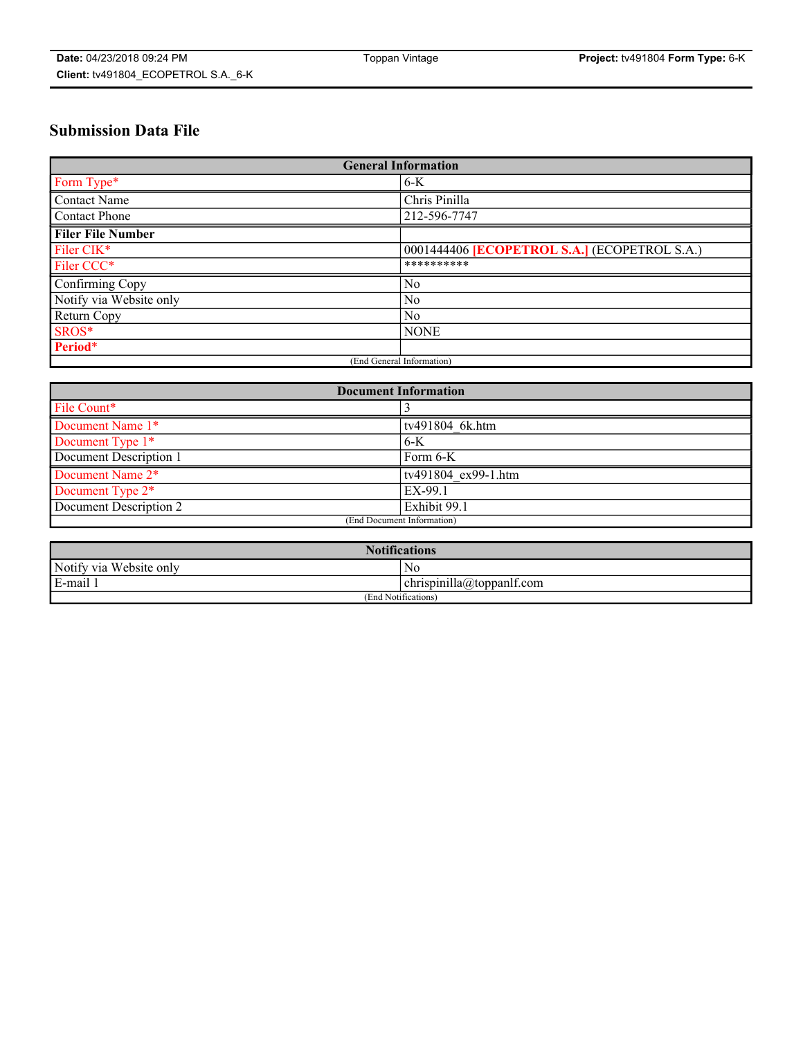# **Submission Data File**

| <b>General Information</b> |                                                     |
|----------------------------|-----------------------------------------------------|
| Form Type*                 | $6-K$                                               |
| Contact Name               | Chris Pinilla                                       |
| Contact Phone              | 212-596-7747                                        |
| <b>Filer File Number</b>   |                                                     |
| Filer CIK*                 | 0001444406 <b>[ECOPETROL S.A.]</b> (ECOPETROL S.A.) |
| Filer CCC*                 | **********                                          |
| Confirming Copy            | N <sub>0</sub>                                      |
| Notify via Website only    | N <sub>0</sub>                                      |
| Return Copy                | No                                                  |
| SROS*                      | <b>NONE</b>                                         |
| Period*                    |                                                     |
| (End General Information)  |                                                     |

| <b>Document Information</b> |                     |
|-----------------------------|---------------------|
| File Count*                 |                     |
| Document Name 1*            | tv491804 6k.htm     |
| Document Type 1*            | $6-K$               |
| Document Description 1      | Form $6-K$          |
| Document Name 2*            | tv491804 ex99-1.htm |
| Document Type 2*            | EX-99.1             |
| Document Description 2      | Exhibit 99.1        |
| (End Document Information)  |                     |

| <b>Notifications</b>    |                                        |  |
|-------------------------|----------------------------------------|--|
| Notify via Website only | N0                                     |  |
| E-mail 1                | <br>10<br> chrispinilla(a)toppanIt.com |  |
| (End Notifications)     |                                        |  |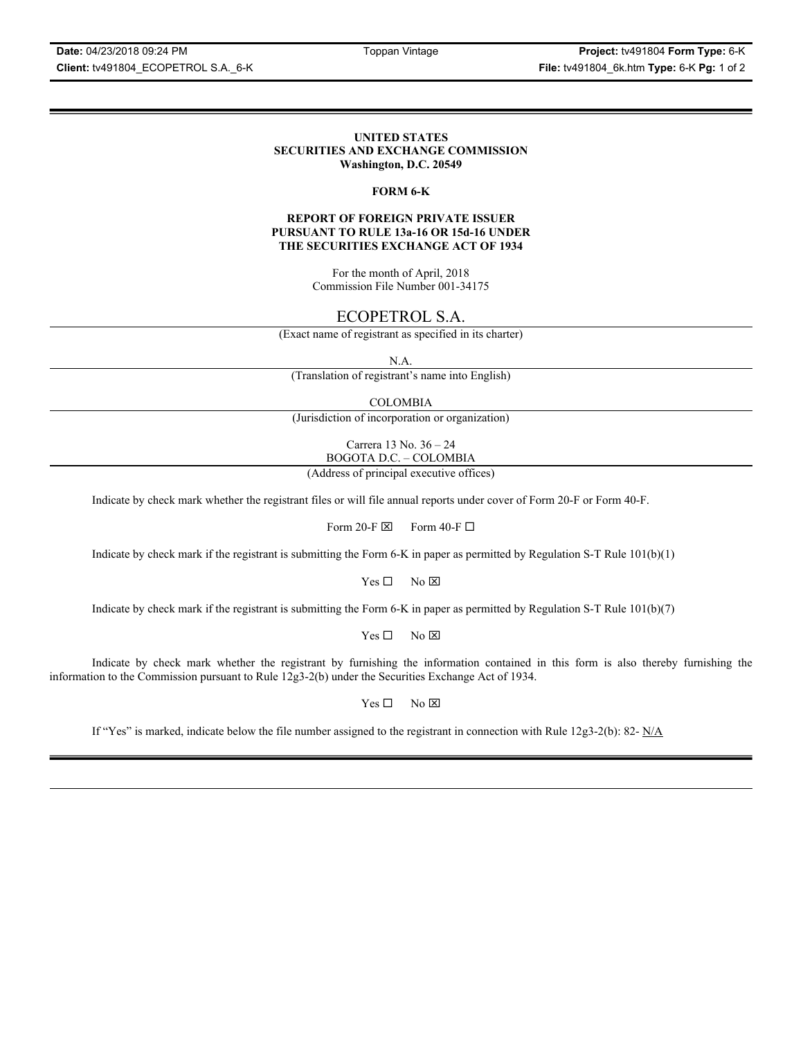**Date:** 04/23/2018 09:24 PM Toppan Vintage **Project:** tv491804 **Form Type:** 6-K **Client:** tv491804\_ECOPETROL S.A.\_6-K **File:** tv491804\_6k.htm **Type:** 6-K **Pg:** 1 of 2

#### **UNITED STATES SECURITIES AND EXCHANGE COMMISSION Washington, D.C. 20549**

#### **FORM 6-K**

#### **REPORT OF FOREIGN PRIVATE ISSUER PURSUANT TO RULE 13a-16 OR 15d-16 UNDER THE SECURITIES EXCHANGE ACT OF 1934**

For the month of April, 2018 Commission File Number 001-34175

# ECOPETROL S.A.

(Exact name of registrant as specified in its charter)

N.A.

(Translation of registrant's name into English)

COLOMBIA

(Jurisdiction of incorporation or organization)

Carrera 13 No. 36 – 24 BOGOTA D.C. – COLOMBIA

(Address of principal executive offices)

Indicate by check mark whether the registrant files or will file annual reports under cover of Form 20-F or Form 40-F.

Form 20-F  $\boxtimes$  Form 40-F  $\Box$ 

Indicate by check mark if the registrant is submitting the Form 6-K in paper as permitted by Regulation S-T Rule 101(b)(1)

 $Yes \Box$  No  $\overline{\times}$ 

Indicate by check mark if the registrant is submitting the Form 6-K in paper as permitted by Regulation S-T Rule 101(b)(7)

 $Yes \Box$  No  $\boxtimes$ 

Indicate by check mark whether the registrant by furnishing the information contained in this form is also thereby furnishing the information to the Commission pursuant to Rule 12g3-2(b) under the Securities Exchange Act of 1934.

 $Yes \Box$  No  $\boxtimes$ 

If "Yes" is marked, indicate below the file number assigned to the registrant in connection with Rule  $12g3-2(b)$ : 82- N/A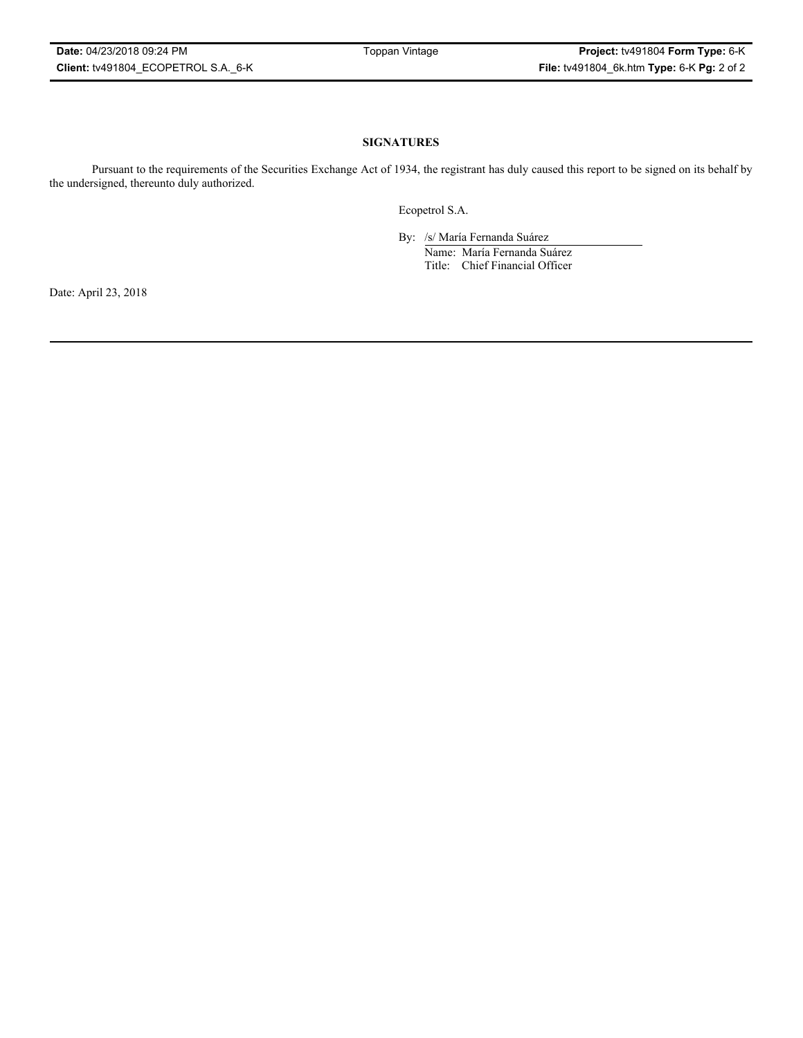# **SIGNATURES**

Pursuant to the requirements of the Securities Exchange Act of 1934, the registrant has duly caused this report to be signed on its behalf by the undersigned, thereunto duly authorized.

Ecopetrol S.A.

By: /s/ María Fernanda Suárez Name: María Fernanda Suárez Title: Chief Financial Officer

Date: April 23, 2018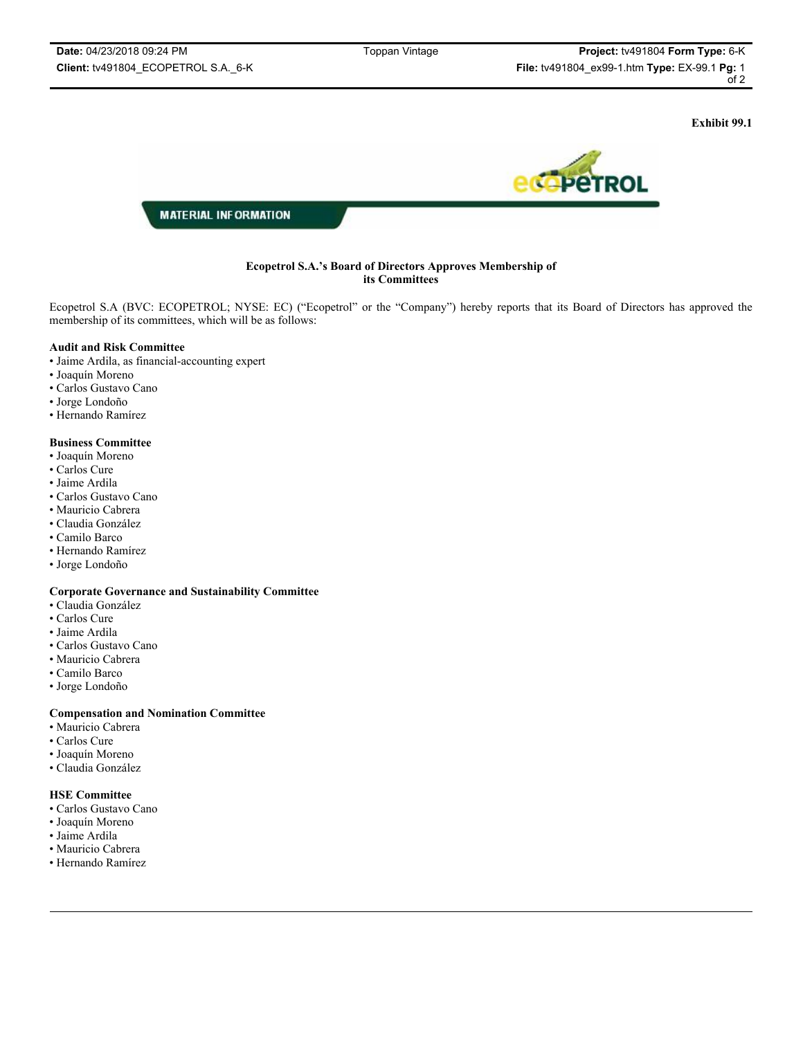**Exhibit 99.1**



# **Ecopetrol S.A.'s Board of Directors Approves Membership of its Committees**

Ecopetrol S.A (BVC: ECOPETROL; NYSE: EC) ("Ecopetrol" or the "Company") hereby reports that its Board of Directors has approved the membership of its committees, which will be as follows:

#### **Audit and Risk Committee**

- Jaime Ardila, as financial-accounting expert
- Joaquín Moreno
- Carlos Gustavo Cano
- Jorge Londoño
- Hernando Ramírez

#### **Business Committee**

- Joaquín Moreno
- Carlos Cure
- Jaime Ardila
- Carlos Gustavo Cano
- Mauricio Cabrera
- Claudia González
- Camilo Barco
- Hernando Ramírez
- Jorge Londoño

# **Corporate Governance and Sustainability Committee**

- Claudia González
- Carlos Cure
- Jaime Ardila
- Carlos Gustavo Cano
- Mauricio Cabrera
- Camilo Barco
- Jorge Londoño

# **Compensation and Nomination Committee**

- Mauricio Cabrera
- Carlos Cure
- Joaquín Moreno
- Claudia González

# **HSE Committee**

- Carlos Gustavo Cano
- Joaquín Moreno
- Jaime Ardila
- Mauricio Cabrera
- Hernando Ramírez